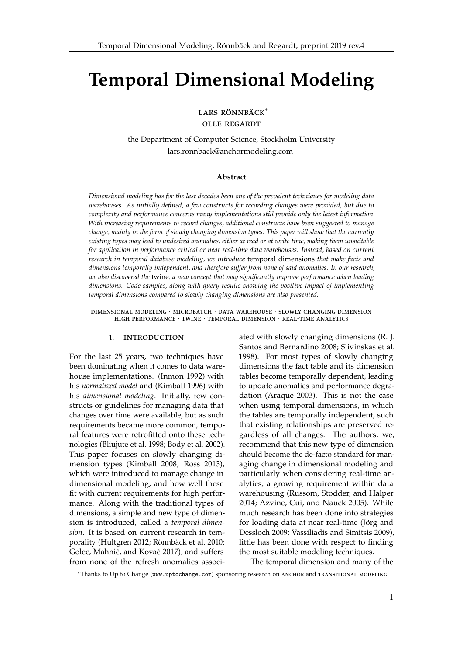# **Temporal Dimensional Modeling**

LARS RÖNNBÄCK<sup>\*</sup>

olle regardt

the Department of Computer Science, Stockholm University [lars.ronnback@anchormodeling.com](mailto:lars.ronnback@anchormodeling.com)

#### **Abstract**

*Dimensional modeling has for the last decades been one of the prevalent techniques for modeling data warehouses. As initially defined, a few constructs for recording changes were provided, but due to complexity and performance concerns many implementations still provide only the latest information. With increasing requirements to record changes, additional constructs have been suggested to manage change, mainly in the form of slowly changing dimension types. This paper will show that the currently existing types may lead to undesired anomalies, either at read or at write time, making them unsuitable for application in performance critical or near real-time data warehouses. Instead, based on current research in temporal database modeling, we introduce* temporal dimensions *that make facts and dimensions temporally independent, and therefore suffer from none of said anomalies. In our research, we also discovered the* twine*, a new concept that may significantly improve performance when loading dimensions. Code samples, along with query results showing the positive impact of implementing temporal dimensions compared to slowly changing dimensions are also presented.*

dimensional modeling · microbatch · data warehouse · slowly changing dimension high performance · twine · temporal dimension · real-time analytics

# 1. introduction

For the last 25 years, two techniques have been dominating when it comes to data warehouse implementations. (Inmon [1992\)](#page-12-0) with his *normalized model* and (Kimball [1996\)](#page-13-0) with his *dimensional modeling*. Initially, few constructs or guidelines for managing data that changes over time were available, but as such requirements became more common, temporal features were retrofitted onto these technologies (Bliujute et al. [1998;](#page-12-1) Body et al. [2002\)](#page-12-2). This paper focuses on slowly changing dimension types (Kimball [2008;](#page-13-1) Ross [2013\)](#page-13-2), which were introduced to manage change in dimensional modeling, and how well these fit with current requirements for high performance. Along with the traditional types of dimensions, a simple and new type of dimension is introduced, called a *temporal dimension*. It is based on current research in tem-porality (Hultgren [2012;](#page-12-3) Rönnbäck et al. [2010;](#page-13-3) Golec, Mahnič, and Kovač [2017\)](#page-12-4), and suffers from none of the refresh anomalies associated with slowly changing dimensions (R. J. Santos and Bernardino [2008;](#page-13-4) Slivinskas et al. [1998\)](#page-13-5). For most types of slowly changing dimensions the fact table and its dimension tables become temporally dependent, leading to update anomalies and performance degradation (Araque [2003\)](#page-12-5). This is not the case when using temporal dimensions, in which the tables are temporally independent, such that existing relationships are preserved regardless of all changes. The authors, we, recommend that this new type of dimension should become the de-facto standard for managing change in dimensional modeling and particularly when considering real-time analytics, a growing requirement within data warehousing (Russom, Stodder, and Halper [2014;](#page-13-6) Azvine, Cui, and Nauck [2005\)](#page-12-6). While much research has been done into strategies for loading data at near real-time (Jörg and Dessloch [2009;](#page-12-7) Vassiliadis and Simitsis [2009\)](#page-13-7), little has been done with respect to finding the most suitable modeling techniques.

The temporal dimension and many of the

<sup>∗</sup>Thanks to Up to Change (<www.uptochange.com>) sponsoring research on anchor and transitional modeling.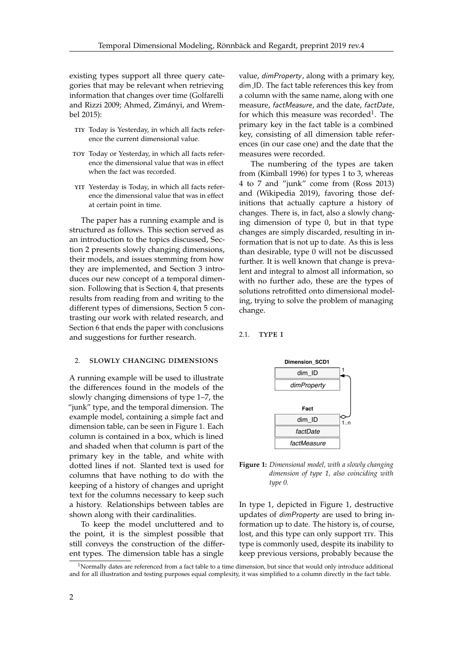existing types support all three query categories that may be relevant when retrieving information that changes over time (Golfarelli and Rizzi [2009;](#page-12-8) Ahmed, Zimányi, and Wrembel [2015\)](#page-12-9):

- TIY Today is Yesterday, in which all facts reference the current dimensional value.
- toy Today or Yesterday, in which all facts reference the dimensional value that was in effect when the fact was recorded.
- YIT Yesterday is Today, in which all facts reference the dimensional value that was in effect at certain point in time.

The paper has a running example and is structured as follows. This section served as an introduction to the topics discussed, Section 2 presents slowly changing dimensions, their models, and issues stemming from how they are implemented, and Section 3 introduces our new concept of a temporal dimension. Following that is Section 4, that presents results from reading from and writing to the different types of dimensions, Section 5 contrasting our work with related research, and Section 6 that ends the paper with conclusions and suggestions for further research.

#### 2. slowly changing dimensions

A running example will be used to illustrate the differences found in the models of the slowly changing dimensions of type 1–7, the "junk" type, and the temporal dimension. The example model, containing a simple fact and dimension table, can be seen in Figure [1.](#page-1-0) Each column is contained in a box, which is lined and shaded when that column is part of the primary key in the table, and white with dotted lines if not. Slanted text is used for columns that have nothing to do with the keeping of a history of changes and upright text for the columns necessary to keep such a history. Relationships between tables are shown along with their cardinalities.

To keep the model uncluttered and to the point, it is the simplest possible that still conveys the construction of the different types. The dimension table has a single

value, dimProperty, along with a primary key, dim ID. The fact table references this key from a column with the same name, along with one measure, factMeasure, and the date, factDate, for which this measure was recorded<sup>[1](#page-1-1)</sup>. The primary key in the fact table is a combined key, consisting of all dimension table references (in our case one) and the date that the measures were recorded.

The numbering of the types are taken from (Kimball [1996\)](#page-13-0) for types 1 to 3, whereas 4 to 7 and "junk" come from (Ross [2013\)](#page-13-2) and (Wikipedia [2019\)](#page-13-8), favoring those definitions that actually capture a history of changes. There is, in fact, also a slowly changing dimension of type 0, but in that type changes are simply discarded, resulting in information that is not up to date. As this is less than desirable, type 0 will not be discussed further. It is well known that change is prevalent and integral to almost all information, so with no further ado, these are the types of solutions retrofitted onto dimensional modeling, trying to solve the problem of managing change.

## <span id="page-1-0"></span>2.1. **TYPE I**



**Figure 1:** *Dimensional model, with a slowly changing dimension of type 1, also coinciding with type 0.*

In type 1, depicted in Figure [1,](#page-1-0) destructive updates of dimProperty are used to bring information up to date. The history is, of course, lost, and this type can only support TIY. This type is commonly used, despite its inability to keep previous versions, probably because the

<span id="page-1-1"></span> $1$ Normally dates are referenced from a fact table to a time dimension, but since that would only introduce additional and for all illustration and testing purposes equal complexity, it was simplified to a column directly in the fact table.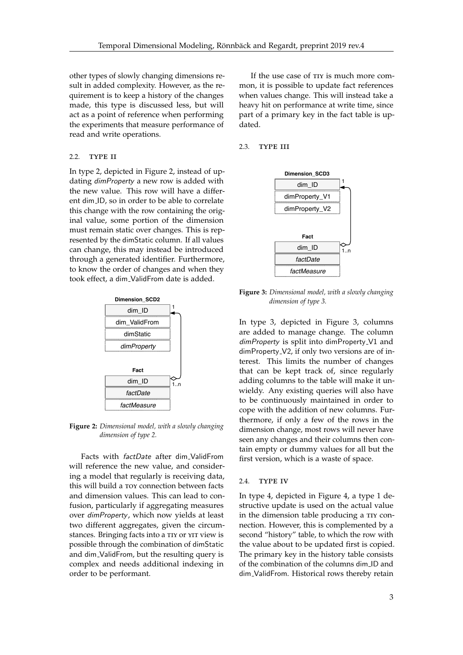other types of slowly changing dimensions result in added complexity. However, as the requirement is to keep a history of the changes made, this type is discussed less, but will act as a point of reference when performing the experiments that measure performance of read and write operations.

## 2.2. TYPE II

In type 2, depicted in Figure [2,](#page-2-0) instead of updating dimProperty a new row is added with the new value. This row will have a different dim ID, so in order to be able to correlate this change with the row containing the original value, some portion of the dimension must remain static over changes. This is represented by the dimStatic column. If all values can change, this may instead be introduced through a generated identifier. Furthermore, to know the order of changes and when they took effect, a dim\_ValidFrom date is added.

<span id="page-2-0"></span>

**Figure 2:** *Dimensional model, with a slowly changing dimension of type 2.*

Facts with factDate after dim ValidFrom will reference the new value, and considering a model that regularly is receiving data, this will build a toy connection between facts and dimension values. This can lead to confusion, particularly if aggregating measures over dimProperty, which now yields at least two different aggregates, given the circumstances. Bringing facts into a TIY or YIT view is possible through the combination of dimStatic and dim ValidFrom, but the resulting query is complex and needs additional indexing in order to be performant.

If the use case of  $T<sub>IV</sub>$  is much more common, it is possible to update fact references when values change. This will instead take a heavy hit on performance at write time, since part of a primary key in the fact table is updated.

<span id="page-2-1"></span>2.3. TYPE III



**Figure 3:** *Dimensional model, with a slowly changing dimension of type 3.*

In type 3, depicted in Figure [3,](#page-2-1) columns are added to manage change. The column dimProperty is split into dimProperty<sub>-V1</sub> and dimProperty V2, if only two versions are of interest. This limits the number of changes that can be kept track of, since regularly adding columns to the table will make it unwieldy. Any existing queries will also have to be continuously maintained in order to cope with the addition of new columns. Furthermore, if only a few of the rows in the dimension change, most rows will never have seen any changes and their columns then contain empty or dummy values for all but the first version, which is a waste of space.

## 2.4. TYPE IV

In type 4, depicted in Figure [4,](#page-3-0) a type 1 destructive update is used on the actual value in the dimension table producing a TIY connection. However, this is complemented by a second "history" table, to which the row with the value about to be updated first is copied. The primary key in the history table consists of the combination of the columns dim ID and dim ValidFrom. Historical rows thereby retain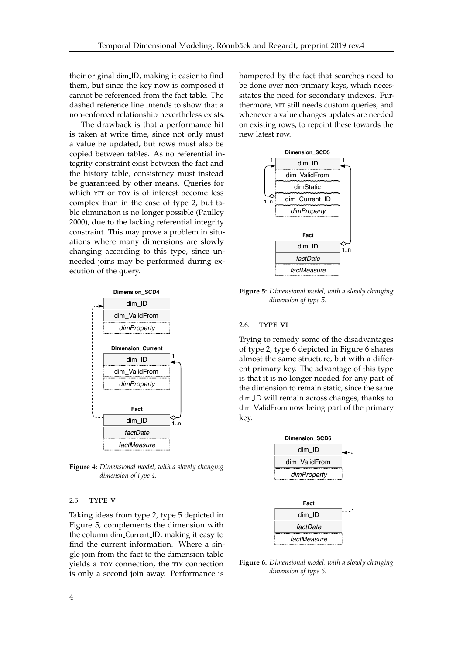their original dim ID, making it easier to find them, but since the key now is composed it cannot be referenced from the fact table. The dashed reference line intends to show that a non-enforced relationship nevertheless exists.

The drawback is that a performance hit is taken at write time, since not only must a value be updated, but rows must also be copied between tables. As no referential integrity constraint exist between the fact and the history table, consistency must instead be guaranteed by other means. Queries for which YIT or TOY is of interest become less complex than in the case of type 2, but table elimination is no longer possible (Paulley [2000\)](#page-13-9), due to the lacking referential integrity constraint. This may prove a problem in situations where many dimensions are slowly changing according to this type, since unneeded joins may be performed during execution of the query.

<span id="page-3-0"></span>

**Figure 4:** *Dimensional model, with a slowly changing dimension of type 4.*

#### 2.5. TYPE V

Taking ideas from type 2, type 5 depicted in Figure [5,](#page-3-1) complements the dimension with the column dim Current ID, making it easy to find the current information. Where a single join from the fact to the dimension table yields a toy connection, the tiy connection is only a second join away. Performance is

hampered by the fact that searches need to be done over non-primary keys, which necessitates the need for secondary indexes. Furthermore, YIT still needs custom queries, and whenever a value changes updates are needed on existing rows, to repoint these towards the new latest row.

<span id="page-3-1"></span>

**Figure 5:** *Dimensional model, with a slowly changing dimension of type 5.*

#### 2.6. TYPE VI

Trying to remedy some of the disadvantages of type 2, type 6 depicted in Figure [6](#page-3-2) shares almost the same structure, but with a different primary key. The advantage of this type is that it is no longer needed for any part of the dimension to remain static, since the same dim ID will remain across changes, thanks to dim ValidFrom now being part of the primary key.

<span id="page-3-2"></span>

**Figure 6:** *Dimensional model, with a slowly changing dimension of type 6.*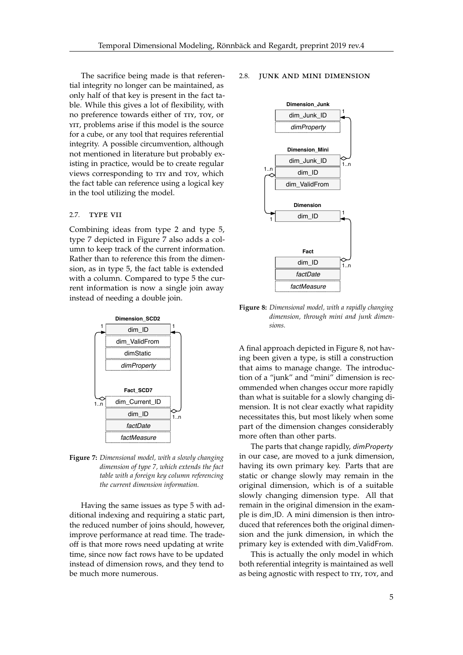The sacrifice being made is that referential integrity no longer can be maintained, as only half of that key is present in the fact table. While this gives a lot of flexibility, with no preference towards either of tiy, toy, or YIT, problems arise if this model is the source for a cube, or any tool that requires referential integrity. A possible circumvention, although not mentioned in literature but probably existing in practice, would be to create regular views corresponding to TIY and TOY, which the fact table can reference using a logical key in the tool utilizing the model.

#### 2.7. TYPE VII

Combining ideas from type 2 and type 5, type 7 depicted in Figure [7](#page-4-0) also adds a column to keep track of the current information. Rather than to reference this from the dimension, as in type 5, the fact table is extended with a column. Compared to type 5 the current information is now a single join away instead of needing a double join.

<span id="page-4-0"></span>

**Figure 7:** *Dimensional model, with a slowly changing dimension of type 7, which extends the fact table with a foreign key column referencing the current dimension information.*

Having the same issues as type 5 with additional indexing and requiring a static part, the reduced number of joins should, however, improve performance at read time. The tradeoff is that more rows need updating at write time, since now fact rows have to be updated instead of dimension rows, and they tend to be much more numerous.

#### <span id="page-4-1"></span>2.8. junk and mini dimension



**Figure 8:** *Dimensional model, with a rapidly changing dimension, through mini and junk dimensions.*

A final approach depicted in Figure [8,](#page-4-1) not having been given a type, is still a construction that aims to manage change. The introduction of a "junk" and "mini" dimension is recommended when changes occur more rapidly than what is suitable for a slowly changing dimension. It is not clear exactly what rapidity necessitates this, but most likely when some part of the dimension changes considerably more often than other parts.

The parts that change rapidly, dimProperty in our case, are moved to a junk dimension, having its own primary key. Parts that are static or change slowly may remain in the original dimension, which is of a suitable slowly changing dimension type. All that remain in the original dimension in the example is dim ID. A mini dimension is then introduced that references both the original dimension and the junk dimension, in which the primary key is extended with dim\_ValidFrom.

This is actually the only model in which both referential integrity is maintained as well as being agnostic with respect to TIY, TOY, and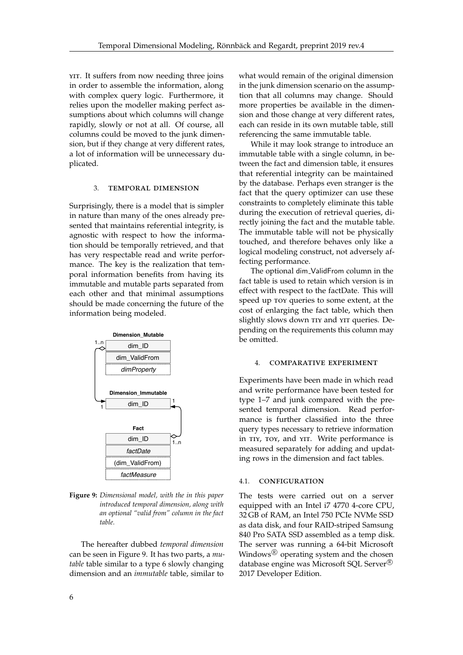YIT. It suffers from now needing three joins in order to assemble the information, along with complex query logic. Furthermore, it relies upon the modeller making perfect assumptions about which columns will change rapidly, slowly or not at all. Of course, all columns could be moved to the junk dimension, but if they change at very different rates, a lot of information will be unnecessary duplicated.

#### 3. temporal dimension

Surprisingly, there is a model that is simpler in nature than many of the ones already presented that maintains referential integrity, is agnostic with respect to how the information should be temporally retrieved, and that has very respectable read and write performance. The key is the realization that temporal information benefits from having its immutable and mutable parts separated from each other and that minimal assumptions should be made concerning the future of the information being modeled.

<span id="page-5-0"></span>

**Figure 9:** *Dimensional model, with the in this paper introduced temporal dimension, along with an optional "valid from" column in the fact table.*

The hereafter dubbed *temporal dimension* can be seen in Figure [9.](#page-5-0) It has two parts, a *mutable* table similar to a type 6 slowly changing dimension and an *immutable* table, similar to

what would remain of the original dimension in the junk dimension scenario on the assumption that all columns may change. Should more properties be available in the dimension and those change at very different rates, each can reside in its own mutable table, still referencing the same immutable table.

While it may look strange to introduce an immutable table with a single column, in between the fact and dimension table, it ensures that referential integrity can be maintained by the database. Perhaps even stranger is the fact that the query optimizer can use these constraints to completely eliminate this table during the execution of retrieval queries, directly joining the fact and the mutable table. The immutable table will not be physically touched, and therefore behaves only like a logical modeling construct, not adversely affecting performance.

The optional dim ValidFrom column in the fact table is used to retain which version is in effect with respect to the factDate. This will speed up toy queries to some extent, at the cost of enlarging the fact table, which then slightly slows down TIY and YIT queries. Depending on the requirements this column may be omitted.

#### 4. comparative experiment

Experiments have been made in which read and write performance have been tested for type 1–7 and junk compared with the presented temporal dimension. Read performance is further classified into the three query types necessary to retrieve information in TIY, TOY, and YIT. Write performance is measured separately for adding and updating rows in the dimension and fact tables.

## 4.1. configuration

The tests were carried out on a server equipped with an Intel i7 4770 4-core CPU, 32 GB of RAM, an Intel 750 PCIe NVMe SSD as data disk, and four RAID-striped Samsung 840 Pro SATA SSD assembled as a temp disk. The server was running a 64-bit Microsoft Windows $\mathbb{R}$  operating system and the chosen database engine was Microsoft SQL Server<sup>®</sup> 2017 Developer Edition.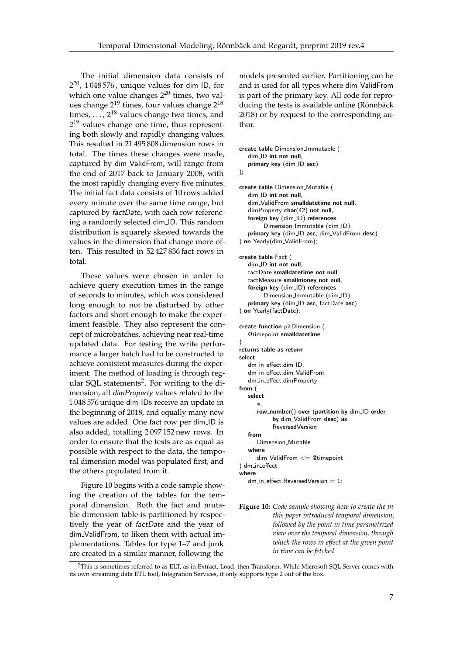The initial dimension data consists of  $2^{20}$ , 1048576, unique values for dim ID, for which one value changes  $2^{20}$  times, two values change 2<sup>19</sup> times, four values change 2<sup>18</sup> times,  $\dots$ ,  $2^{18}$  values change two times, and  $2^{19}$  values change one time, thus representing both slowly and rapidly changing values. This resulted in 21 495 808 dimension rows in total. The times these changes were made, captured by dim ValidFrom, will range from the end of 2017 back to January 2008, with the most rapidly changing every five minutes. The initial fact data consists of 10 rows added every minute over the same time range, but captured by factDate, with each row referencing a randomly selected dim ID. This random distribution is squarely skewed towards the values in the dimension that change more often. This resulted in 52 427 836 fact rows in total.

These values were chosen in order to achieve query execution times in the range of seconds to minutes, which was considered long enough to not be disturbed by other factors and short enough to make the experiment feasible. They also represent the concept of microbatches, achieving near real-time updated data. For testing the write performance a larger batch had to be constructed to achieve consistent measures during the experiment. The method of loading is through reg-ular SQL statements<sup>[2](#page-6-0)</sup>. For writing to the dimension, all dimProperty values related to the 1 048 576 unique dim IDs receive an update in the beginning of 2018, and equally many new values are added. One fact row per dim ID is also added, totalling 2 097 152 new rows. In order to ensure that the tests are as equal as possible with respect to the data, the temporal dimension model was populated first, and the others populated from it.

Figure [10](#page-6-1) begins with a code sample showing the creation of the tables for the temporal dimension. Both the fact and mutable dimension table is partitioned by respectively the year of factDate and the year of dim ValidFrom, to liken them with actual implementations. Tables for type 1–7 and junk are created in a similar manner, following the

models presented earlier. Partitioning can be and is used for all types where dim ValidFrom is part of the primary key. All code for reproducing the tests is available online (Rönnbäck [2018\)](#page-13-10) or by request to the corresponding author.

```
create table Dimension Immutable (
   dim ID int not null,
   primary key (dim_ID asc)
);
create table Dimension_Mutable (
   dim ID int not null,
   dim ValidFrom smalldatetime not null,
   dimProperty char(42) not null,
   foreign key (dim_ID) references
        Dimension_Immutable (dim_ID),
   primary key (dim_ID asc, dim_ValidFrom desc)
) on Yearly(dim_ValidFrom);
create table Fact (
   dim_ID int not null,
   factDate smalldatetime not null,
   factMeasure smallmoney not null,
   foreign key (dim_ID) references
        Dimension Immutable (dim ID),
   primary key (dim_ID asc, factDate asc)
) on Yearly(factDate);
create function pitDimension (
   @timepoint smalldatetime
)
returns table as return
select
   dm in effect dim ID
   dm_in_effect.dim_ValidFrom,
   dm in effect.dimProperty
from (
   select
      ∗,
      row_number() over (partition by dim_ID order
           by dim_ValidFrom desc) as
           ReversedVersion
   from
      Dimension_Mutable
   where
      dim ValidFrom <= @timepoint
) dm in effect
where
   dm in effect ReversedVersion = 1;
```
**Figure 10:** *Code sample showing how to create the in this paper introduced temporal dimension, followed by the point in time parametrized view over the temporal dimension, through which the rows in effect at the given point in time can be fetched.*

<span id="page-6-0"></span><sup>2</sup>This is sometimes referred to as ELT, as in Extract, Load, then Transform. While Microsoft SQL Server comes with its own streaming data ETL tool, Integration Services, it only supports type 2 out of the box.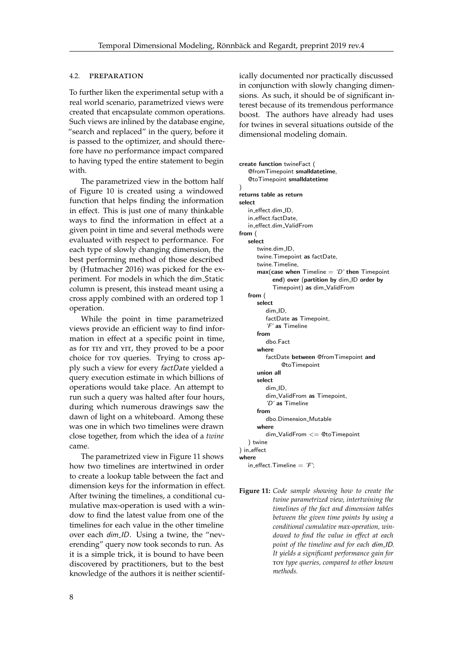## 4.2. preparation

To further liken the experimental setup with a real world scenario, parametrized views were created that encapsulate common operations. Such views are inlined by the database engine, "search and replaced" in the query, before it is passed to the optimizer, and should therefore have no performance impact compared to having typed the entire statement to begin with.

The parametrized view in the bottom half of Figure [10](#page-6-1) is created using a windowed function that helps finding the information in effect. This is just one of many thinkable ways to find the information in effect at a given point in time and several methods were evaluated with respect to performance. For each type of slowly changing dimension, the best performing method of those described by (Hutmacher [2016\)](#page-12-10) was picked for the experiment. For models in which the dim Static column is present, this instead meant using a cross apply combined with an ordered top 1 operation.

While the point in time parametrized views provide an efficient way to find information in effect at a specific point in time, as for tiy and yit, they proved to be a poor choice for toy queries. Trying to cross apply such a view for every factDate yielded a query execution estimate in which billions of operations would take place. An attempt to run such a query was halted after four hours, during which numerous drawings saw the dawn of light on a whiteboard. Among these was one in which two timelines were drawn close together, from which the idea of a *twine* came.

The parametrized view in Figure [11](#page-7-0) shows how two timelines are intertwined in order to create a lookup table between the fact and dimension keys for the information in effect. After twining the timelines, a conditional cumulative max-operation is used with a window to find the latest value from one of the timelines for each value in the other timeline over each dim ID. Using a twine, the "neverending" query now took seconds to run. As it is a simple trick, it is bound to have been discovered by practitioners, but to the best knowledge of the authors it is neither scientifically documented nor practically discussed in conjunction with slowly changing dimensions. As such, it should be of significant interest because of its tremendous performance boost. The authors have already had uses for twines in several situations outside of the dimensional modeling domain.

```
create function twineFact (
   @fromTimepoint smalldatetime,
   @toTimepoint smalldatetime
\lambdareturns table as return
select
   in effect.dim ID,
   in effect.factDate,
  in effect.dim ValidFrom
from (
   select
      twine.dim ID,
      twine.Timepoint as factDate,
      twine.Timeline,
      max(\text{case when Timeline} = 'D' \text{ then Timepoint})end) over (partition by dim_ID order by
            Timepoint) as dim ValidFrom
   from (
      select
         dim ID,
         factDate as Timepoint,
         'F' as Timeline
      from
         dbo.Fact
      where
         factDate between @fromTimepoint and
               @toTimepoint
      union all
      select
         dim ID,
         dim_ValidFrom as Timepoint,
          'D' as Timeline
      from
         dbo.Dimension Mutable
      where
         dim-ValidFrom \leq @toTimepoint
   ) twine
) in effect
where
   in effect. Timeline = 'F':
```
**Figure 11:** *Code sample showing how to create the twine parametrized view, intertwining the timelines of the fact and dimension tables between the given time points by using a conditional cumulative max-operation, windowed to find the value in effect at each point of the timeline and for each* dim ID*. It yields a significant performance gain for* toy *type queries, compared to other known methods.*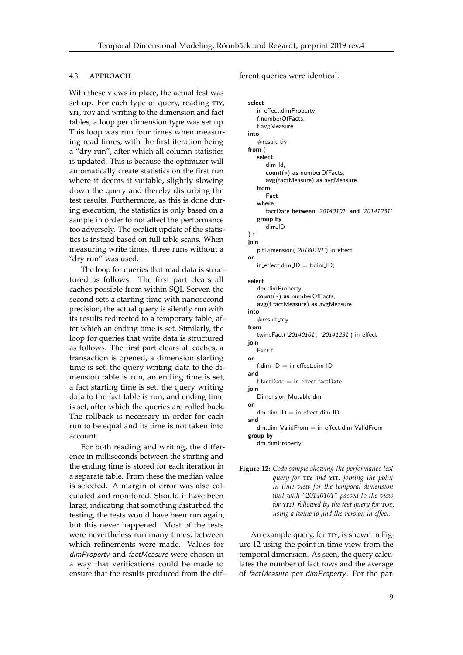## 4.3. APPROACH

With these views in place, the actual test was set up. For each type of query, reading TIY, YIT, TOY and writing to the dimension and fact tables, a loop per dimension type was set up. This loop was run four times when measuring read times, with the first iteration being a "dry run", after which all column statistics is updated. This is because the optimizer will automatically create statistics on the first run where it deems it suitable, slightly slowing down the query and thereby disturbing the test results. Furthermore, as this is done during execution, the statistics is only based on a sample in order to not affect the performance too adversely. The explicit update of the statistics is instead based on full table scans. When measuring write times, three runs without a "dry run" was used.

The loop for queries that read data is structured as follows. The first part clears all caches possible from within SQL Server, the second sets a starting time with nanosecond precision, the actual query is silently run with its results redirected to a temporary table, after which an ending time is set. Similarly, the loop for queries that write data is structured as follows. The first part clears all caches, a transaction is opened, a dimension starting time is set, the query writing data to the dimension table is run, an ending time is set, a fact starting time is set, the query writing data to the fact table is run, and ending time is set, after which the queries are rolled back. The rollback is necessary in order for each run to be equal and its time is not taken into account.

For both reading and writing, the difference in milliseconds between the starting and the ending time is stored for each iteration in a separate table. From these the median value is selected. A margin of error was also calculated and monitored. Should it have been large, indicating that something disturbed the testing, the tests would have been run again, but this never happened. Most of the tests were nevertheless run many times, between which refinements were made. Values for dimProperty and factMeasure were chosen in a way that verifications could be made to ensure that the results produced from the dif<span id="page-8-0"></span>ferent queries were identical.

```
select
   in effect.dimProperty,
   f.numberOfFacts,
   f.avgMeasure
into
   #result_tiy
from (
   select
      dim Id,
      count(∗) as numberOfFacts,
      avg(factMeasure) as avgMeasure
   from
      Fact
   where
      factDate between '20140101' and '20141231'
   group by
      dim ID
) f
join
   pitDimension('20180101') in_effect
on
   in\_effect.dim\_ID = f.dim\_ID;select
   dm.dimProperty,
   count(∗) as numberOfFacts,
   avg(f.factMeasure) as avgMeasure
into
   #result_tov
from
   twineFact('20140101', '20141231') in_effect
join
   Fact f
on
   f.dim\_ID = in\_effect.dim\_IDand
   f.factDate = in\_effect.factDatejoin
   Dimension Mutable dm
on
   dm.dim\_ID = in\_effect.dim\_IDand
   dm.dim ValidFrom = in effect.dim ValidFrom
group by
```
dm.dimProperty;

**Figure 12:** *Code sample showing the performance test query for* tiy *and* yit*, joining the point in time view for the temporal dimension (but with "20140101" passed to the view for*  $YIT$ *), followed by the test query for*  $TOY$ *, using a twine to find the version in effect.*

An example query, for TIY, is shown in Figure [12](#page-8-0) using the point in time view from the temporal dimension. As seen, the query calculates the number of fact rows and the average of factMeasure per dimProperty. For the par-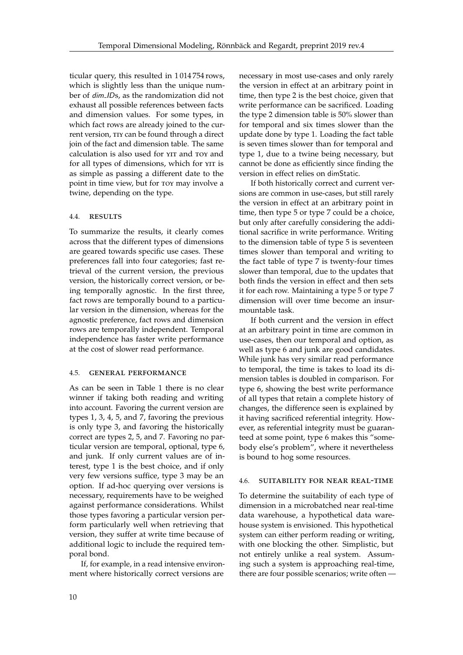ticular query, this resulted in 1 014 754 rows, which is slightly less than the unique number of dim IDs, as the randomization did not exhaust all possible references between facts and dimension values. For some types, in which fact rows are already joined to the current version, TIY can be found through a direct join of the fact and dimension table. The same calculation is also used for YIT and TOY and for all types of dimensions, which for YIT is as simple as passing a different date to the point in time view, but for toy may involve a twine, depending on the type.

## 4.4. results

To summarize the results, it clearly comes across that the different types of dimensions are geared towards specific use cases. These preferences fall into four categories; fast retrieval of the current version, the previous version, the historically correct version, or being temporally agnostic. In the first three, fact rows are temporally bound to a particular version in the dimension, whereas for the agnostic preference, fact rows and dimension rows are temporally independent. Temporal independence has faster write performance at the cost of slower read performance.

#### 4.5. general performance

As can be seen in Table [1](#page-10-0) there is no clear winner if taking both reading and writing into account. Favoring the current version are types 1, 3, 4, 5, and 7, favoring the previous is only type 3, and favoring the historically correct are types 2, 5, and 7. Favoring no particular version are temporal, optional, type 6, and junk. If only current values are of interest, type 1 is the best choice, and if only very few versions suffice, type 3 may be an option. If ad-hoc querying over versions is necessary, requirements have to be weighed against performance considerations. Whilst those types favoring a particular version perform particularly well when retrieving that version, they suffer at write time because of additional logic to include the required temporal bond.

If, for example, in a read intensive environment where historically correct versions are

necessary in most use-cases and only rarely the version in effect at an arbitrary point in time, then type 2 is the best choice, given that write performance can be sacrificed. Loading the type 2 dimension table is 50% slower than for temporal and six times slower than the update done by type 1. Loading the fact table is seven times slower than for temporal and type 1, due to a twine being necessary, but cannot be done as efficiently since finding the version in effect relies on dimStatic.

If both historically correct and current versions are common in use-cases, but still rarely the version in effect at an arbitrary point in time, then type 5 or type 7 could be a choice, but only after carefully considering the additional sacrifice in write performance. Writing to the dimension table of type 5 is seventeen times slower than temporal and writing to the fact table of type 7 is twenty-four times slower than temporal, due to the updates that both finds the version in effect and then sets it for each row. Maintaining a type 5 or type 7 dimension will over time become an insurmountable task.

If both current and the version in effect at an arbitrary point in time are common in use-cases, then our temporal and option, as well as type 6 and junk are good candidates. While junk has very similar read performance to temporal, the time is takes to load its dimension tables is doubled in comparison. For type 6, showing the best write performance of all types that retain a complete history of changes, the difference seen is explained by it having sacrificed referential integrity. However, as referential integrity must be guaranteed at some point, type 6 makes this "somebody else's problem", where it nevertheless is bound to hog some resources.

## 4.6. suitability for near real-time

To determine the suitability of each type of dimension in a microbatched near real-time data warehouse, a hypothetical data warehouse system is envisioned. This hypothetical system can either perform reading or writing, with one blocking the other. Simplistic, but not entirely unlike a real system. Assuming such a system is approaching real-time, there are four possible scenarios; write often —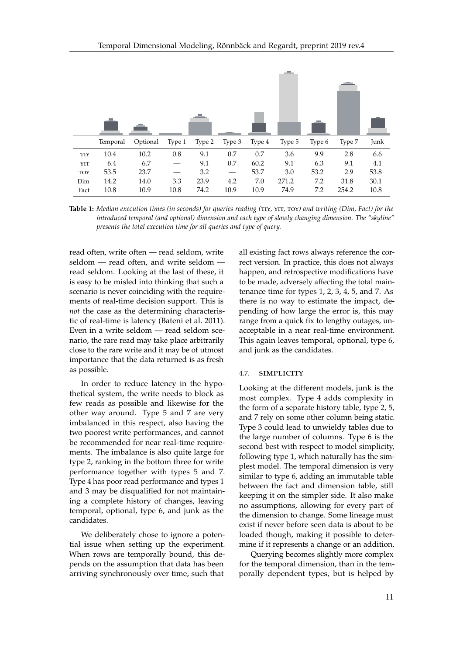<span id="page-10-0"></span>

**Table 1:** *Median execution times (in seconds) for queries reading (*tiy*,* yit*,* toy*) and writing (Dim, Fact) for the introduced temporal (and optional) dimension and each type of slowly changing dimension. The "skyline" presents the total execution time for all queries and type of query.*

read often, write often — read seldom, write seldom — read often, and write seldom read seldom. Looking at the last of these, it is easy to be misled into thinking that such a scenario is never coinciding with the requirements of real-time decision support. This is *not* the case as the determining characteristic of real-time is latency (Bateni et al. [2011\)](#page-12-11). Even in a write seldom — read seldom scenario, the rare read may take place arbitrarily close to the rare write and it may be of utmost importance that the data returned is as fresh as possible.

In order to reduce latency in the hypothetical system, the write needs to block as few reads as possible and likewise for the other way around. Type 5 and 7 are very imbalanced in this respect, also having the two poorest write performances, and cannot be recommended for near real-time requirements. The imbalance is also quite large for type 2, ranking in the bottom three for write performance together with types 5 and 7. Type 4 has poor read performance and types 1 and 3 may be disqualified for not maintaining a complete history of changes, leaving temporal, optional, type 6, and junk as the candidates.

We deliberately chose to ignore a potential issue when setting up the experiment. When rows are temporally bound, this depends on the assumption that data has been arriving synchronously over time, such that

all existing fact rows always reference the correct version. In practice, this does not always happen, and retrospective modifications have to be made, adversely affecting the total maintenance time for types 1, 2, 3, 4, 5, and 7. As there is no way to estimate the impact, depending of how large the error is, this may range from a quick fix to lengthy outages, unacceptable in a near real-time environment. This again leaves temporal, optional, type 6, and junk as the candidates.

#### 4.7. simplicity

Looking at the different models, junk is the most complex. Type 4 adds complexity in the form of a separate history table, type 2, 5, and 7 rely on some other column being static. Type 3 could lead to unwieldy tables due to the large number of columns. Type 6 is the second best with respect to model simplicity, following type 1, which naturally has the simplest model. The temporal dimension is very similar to type 6, adding an immutable table between the fact and dimension table, still keeping it on the simpler side. It also make no assumptions, allowing for every part of the dimension to change. Some lineage must exist if never before seen data is about to be loaded though, making it possible to determine if it represents a change or an addition.

Querying becomes slightly more complex for the temporal dimension, than in the temporally dependent types, but is helped by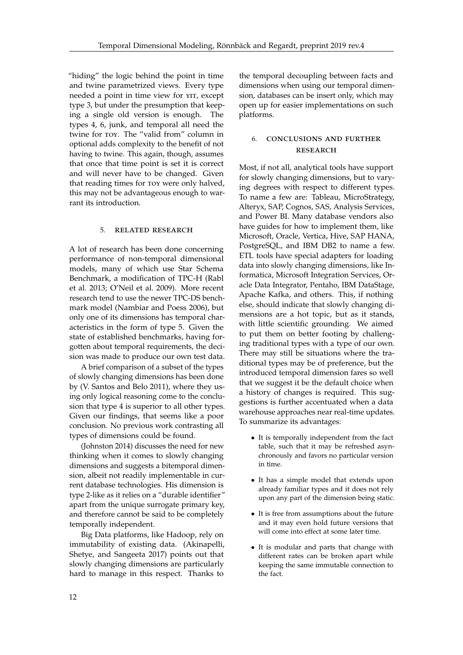"hiding" the logic behind the point in time and twine parametrized views. Every type needed a point in time view for YIT, except type 3, but under the presumption that keeping a single old version is enough. The types 4, 6, junk, and temporal all need the twine for toy. The "valid from" column in optional adds complexity to the benefit of not having to twine. This again, though, assumes that once that time point is set it is correct and will never have to be changed. Given that reading times for toy were only halved, this may not be advantageous enough to warrant its introduction.

## 5. related research

A lot of research has been done concerning performance of non-temporal dimensional models, many of which use Star Schema Benchmark, a modification of TPC-H (Rabl et al. [2013;](#page-13-11) O'Neil et al. [2009\)](#page-13-12). More recent research tend to use the newer TPC-DS benchmark model (Nambiar and Poess [2006\)](#page-13-13), but only one of its dimensions has temporal characteristics in the form of type 5. Given the state of established benchmarks, having forgotten about temporal requirements, the decision was made to produce our own test data.

A brief comparison of a subset of the types of slowly changing dimensions has been done by (V. Santos and Belo [2011\)](#page-13-14), where they using only logical reasoning come to the conclusion that type 4 is superior to all other types. Given our findings, that seems like a poor conclusion. No previous work contrasting all types of dimensions could be found.

(Johnston [2014\)](#page-12-12) discusses the need for new thinking when it comes to slowly changing dimensions and suggests a bitemporal dimension, albeit not readily implementable in current database technologies. His dimension is type 2-like as it relies on a "durable identifier" apart from the unique surrogate primary key, and therefore cannot be said to be completely temporally independent.

Big Data platforms, like Hadoop, rely on immutability of existing data. (Akinapelli, Shetye, and Sangeeta [2017\)](#page-12-13) points out that slowly changing dimensions are particularly hard to manage in this respect. Thanks to

the temporal decoupling between facts and dimensions when using our temporal dimension, databases can be insert only, which may open up for easier implementations on such platforms.

# 6. conclusions and further **RESEARCH**

Most, if not all, analytical tools have support for slowly changing dimensions, but to varying degrees with respect to different types. To name a few are: Tableau, MicroStrategy, Alteryx, SAP, Cognos, SAS, Analysis Services, and Power BI. Many database vendors also have guides for how to implement them, like Microsoft, Oracle, Vertica, Hive, SAP HANA, PostgreSQL, and IBM DB2 to name a few. ETL tools have special adapters for loading data into slowly changing dimensions, like Informatica, Microsoft Integration Services, Oracle Data Integrator, Pentaho, IBM DataStage, Apache Kafka, and others. This, if nothing else, should indicate that slowly changing dimensions are a hot topic, but as it stands, with little scientific grounding. We aimed to put them on better footing by challenging traditional types with a type of our own. There may still be situations where the traditional types may be of preference, but the introduced temporal dimension fares so well that we suggest it be the default choice when a history of changes is required. This suggestions is further accentuated when a data warehouse approaches near real-time updates. To summarize its advantages:

- It is temporally independent from the fact table, such that it may be refreshed asynchronously and favors no particular version in time.
- It has a simple model that extends upon already familiar types and it does not rely upon any part of the dimension being static.
- It is free from assumptions about the future and it may even hold future versions that will come into effect at some later time.
- It is modular and parts that change with different rates can be broken apart while keeping the same immutable connection to the fact.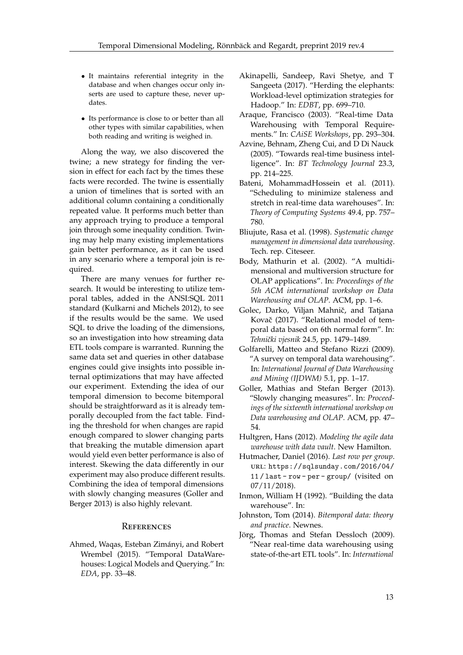- It maintains referential integrity in the database and when changes occur only inserts are used to capture these, never updates.
- Its performance is close to or better than all other types with similar capabilities, when both reading and writing is weighed in.

Along the way, we also discovered the twine; a new strategy for finding the version in effect for each fact by the times these facts were recorded. The twine is essentially a union of timelines that is sorted with an additional column containing a conditionally repeated value. It performs much better than any approach trying to produce a temporal join through some inequality condition. Twining may help many existing implementations gain better performance, as it can be used in any scenario where a temporal join is required.

There are many venues for further research. It would be interesting to utilize temporal tables, added in the ANSI:SQL 2011 standard (Kulkarni and Michels [2012\)](#page-13-15), to see if the results would be the same. We used SQL to drive the loading of the dimensions, so an investigation into how streaming data ETL tools compare is warranted. Running the same data set and queries in other database engines could give insights into possible internal optimizations that may have affected our experiment. Extending the idea of our temporal dimension to become bitemporal should be straightforward as it is already temporally decoupled from the fact table. Finding the threshold for when changes are rapid enough compared to slower changing parts that breaking the mutable dimension apart would yield even better performance is also of interest. Skewing the data differently in our experiment may also produce different results. Combining the idea of temporal dimensions with slowly changing measures (Goller and Berger [2013\)](#page-12-14) is also highly relevant.

#### **REFERENCES**

<span id="page-12-9"></span>Ahmed, Waqas, Esteban Zimányi, and Robert Wrembel (2015). "Temporal DataWarehouses: Logical Models and Querying." In: *EDA*, pp. 33–48.

- <span id="page-12-13"></span>Akinapelli, Sandeep, Ravi Shetye, and T Sangeeta (2017). "Herding the elephants: Workload-level optimization strategies for Hadoop." In: *EDBT*, pp. 699–710.
- <span id="page-12-5"></span>Araque, Francisco (2003). "Real-time Data Warehousing with Temporal Requirements." In: *CAiSE Workshops*, pp. 293–304.
- <span id="page-12-6"></span>Azvine, Behnam, Zheng Cui, and D Di Nauck (2005). "Towards real-time business intelligence". In: *BT Technology Journal* 23.3, pp. 214–225.
- <span id="page-12-11"></span>Bateni, MohammadHossein et al. (2011). "Scheduling to minimize staleness and stretch in real-time data warehouses". In: *Theory of Computing Systems* 49.4, pp. 757– 780.
- <span id="page-12-1"></span>Bliujute, Rasa et al. (1998). *Systematic change management in dimensional data warehousing*. Tech. rep. Citeseer.
- <span id="page-12-2"></span>Body, Mathurin et al. (2002). "A multidimensional and multiversion structure for OLAP applications". In: *Proceedings of the 5th ACM international workshop on Data Warehousing and OLAP*. ACM, pp. 1–6.
- <span id="page-12-4"></span>Golec, Darko, Viljan Mahnič, and Tatjana Kovač (2017). "Relational model of temporal data based on 6th normal form". In: *Tehniˇcki vjesnik* 24.5, pp. 1479–1489.
- <span id="page-12-8"></span>Golfarelli, Matteo and Stefano Rizzi (2009). "A survey on temporal data warehousing". In: *International Journal of Data Warehousing and Mining (IJDWM)* 5.1, pp. 1–17.
- <span id="page-12-14"></span>Goller, Mathias and Stefan Berger (2013). "Slowly changing measures". In: *Proceedings of the sixteenth international workshop on Data warehousing and OLAP*. ACM, pp. 47– 54.
- <span id="page-12-3"></span>Hultgren, Hans (2012). *Modeling the agile data warehouse with data vault*. New Hamilton.
- <span id="page-12-10"></span>Hutmacher, Daniel (2016). *Last row per group*. url: [https://sqlsunday.com/2016/04/](https://sqlsunday.com/2016/04/11/last-row-per-group/) [11 / last - row - per - group/](https://sqlsunday.com/2016/04/11/last-row-per-group/) (visited on 07/11/2018).
- <span id="page-12-0"></span>Inmon, William H (1992). "Building the data warehouse". In:
- <span id="page-12-12"></span>Johnston, Tom (2014). *Bitemporal data: theory and practice*. Newnes.
- <span id="page-12-7"></span>Jörg, Thomas and Stefan Dessloch (2009). "Near real-time data warehousing using state-of-the-art ETL tools". In: *International*